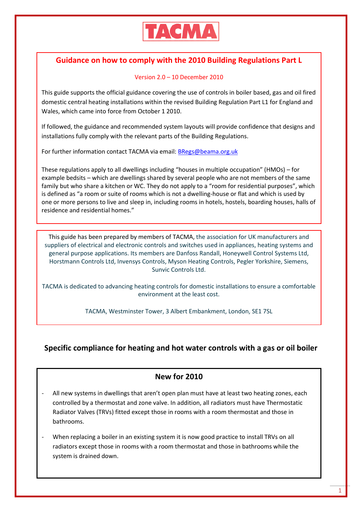

# **Guidance on how to comply with the 2010 Building Regulations Part L**

### Version 2.0 – 10 December 2010

This guide supports the official guidance covering the use of controls in boiler based, gas and oil fired domestic central heating installations within the revised Building Regulation Part L1 for England and Wales, which came into force from October 1 2010.

If followed, the guidance and recommended system layouts will provide confidence that designs and installations fully comply with the relevant parts of the Building Regulations.

For further information contact TACMA via email[: BRegs@beama.org.uk](mailto:BRegs@beama.org.uk)

These regulations apply to all dwellings including "houses in multiple occupation" (HMOs) – for example bedsits – which are dwellings shared by several people who are not members of the same family but who share a kitchen or WC. They do not apply to a "room for residential purposes", which is defined as "a room or suite of rooms which is not a dwelling-house or flat and which is used by one or more persons to live and sleep in, including rooms in hotels, hostels, boarding houses, halls of residence and residential homes."

This guide has been prepared by members of TACMA, the association for UK manufacturers and suppliers of electrical and electronic controls and switches used in appliances, heating systems and general purpose applications. Its members are Danfoss Randall, Honeywell Control Systems Ltd, Horstmann Controls Ltd, Invensys Controls, Myson Heating Controls, Pegler Yorkshire, Siemens, Sunvic Controls Ltd.

TACMA is dedicated to advancing heating controls for domestic installations to ensure a comfortable environment at the least cost.

TACMA, Westminster Tower, 3 Albert Embankment, London, SE1 7SL

## **Specific compliance for heating and hot water controls with a gas or oil boiler**

### **New for 2010**

- All new systems in dwellings that aren't open plan must have at least two heating zones, each controlled by a thermostat and zone valve. In addition, all radiators must have Thermostatic Radiator Valves (TRVs) fitted except those in rooms with a room thermostat and those in bathrooms.
- When replacing a boiler in an existing system it is now good practice to install TRVs on all radiators except those in rooms with a room thermostat and those in bathrooms while the system is drained down.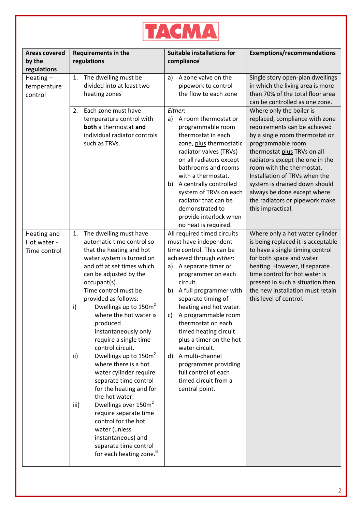

| <b>Areas covered</b><br>by the<br>regulations | <b>Requirements in the</b><br>regulations                                                                                                                                                                                                                                                                                                                                                                                                                                                                                                                                                                                                                                                                                                          | <b>Suitable installations for</b><br>compliance                                                                                                                                                                                                                                                                                                                                                                                                                                                          | <b>Exemptions/recommendations</b>                                                                                                                                                                                                                                                                                                                                                                        |
|-----------------------------------------------|----------------------------------------------------------------------------------------------------------------------------------------------------------------------------------------------------------------------------------------------------------------------------------------------------------------------------------------------------------------------------------------------------------------------------------------------------------------------------------------------------------------------------------------------------------------------------------------------------------------------------------------------------------------------------------------------------------------------------------------------------|----------------------------------------------------------------------------------------------------------------------------------------------------------------------------------------------------------------------------------------------------------------------------------------------------------------------------------------------------------------------------------------------------------------------------------------------------------------------------------------------------------|----------------------------------------------------------------------------------------------------------------------------------------------------------------------------------------------------------------------------------------------------------------------------------------------------------------------------------------------------------------------------------------------------------|
| Heating $-$<br>temperature<br>control         | The dwelling must be<br>1.<br>divided into at least two<br>heating zones"                                                                                                                                                                                                                                                                                                                                                                                                                                                                                                                                                                                                                                                                          | A zone valve on the<br>a)<br>pipework to control<br>the flow to each zone                                                                                                                                                                                                                                                                                                                                                                                                                                | Single story open-plan dwellings<br>in which the living area is more<br>than 70% of the total floor area<br>can be controlled as one zone.                                                                                                                                                                                                                                                               |
|                                               | Each zone must have<br>2.<br>temperature control with<br>both a thermostat and<br>individual radiator controls<br>such as TRVs.                                                                                                                                                                                                                                                                                                                                                                                                                                                                                                                                                                                                                    | Either:<br>A room thermostat or<br>a)<br>programmable room<br>thermostat in each<br>zone, plus thermostatic<br>radiator valves (TRVs)<br>on all radiators except<br>bathrooms and rooms<br>with a thermostat.<br>A centrally controlled<br>b)<br>system of TRVs on each<br>radiator that can be<br>demonstrated to<br>provide interlock when<br>no heat is required.                                                                                                                                     | Where only the boiler is<br>replaced, compliance with zone<br>requirements can be achieved<br>by a single room thermostat or<br>programmable room<br>thermostat plus TRVs on all<br>radiators except the one in the<br>room with the thermostat.<br>Installation of TRVs when the<br>system is drained down should<br>always be done except where<br>the radiators or pipework make<br>this impractical. |
| Heating and<br>Hot water -<br>Time control    | The dwelling must have<br>1.<br>automatic time control so<br>that the heating and hot<br>water system is turned on<br>and off at set times which<br>can be adjusted by the<br>occupant(s).<br>Time control must be<br>provided as follows:<br>Dwellings up to $150m^2$<br>i)<br>where the hot water is<br>produced<br>instantaneously only<br>require a single time<br>control circuit.<br>Dwellings up to 150m <sup>2</sup><br>ii)<br>where there is a hot<br>water cylinder require<br>separate time control<br>for the heating and for<br>the hot water.<br>Dwellings over 150m <sup>2</sup><br>iii)<br>require separate time<br>control for the hot<br>water (unless<br>instantaneous) and<br>separate time control<br>for each heating zone." | All required timed circuits<br>must have independent<br>time control. This can be<br>achieved through either:<br>A separate timer or<br>a)<br>programmer on each<br>circuit.<br>A full programmer with<br>b)<br>separate timing of<br>heating and hot water.<br>A programmable room<br>C)<br>thermostat on each<br>timed heating circuit<br>plus a timer on the hot<br>water circuit.<br>A multi-channel<br>d)<br>programmer providing<br>full control of each<br>timed circuit from a<br>central point. | Where only a hot water cylinder<br>is being replaced it is acceptable<br>to have a single timing control<br>for both space and water<br>heating. However, if separate<br>time control for hot water is<br>present in such a situation then<br>the new installation must retain<br>this level of control.                                                                                                 |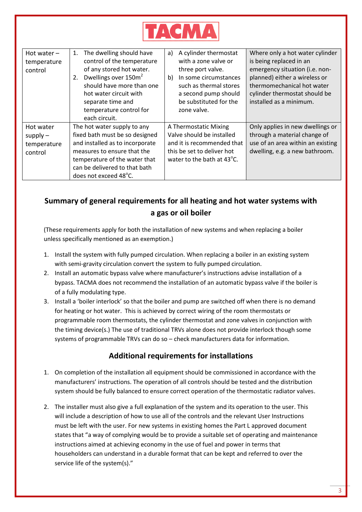

| Hot water $-$<br>temperature<br>control           | The dwelling should have<br>1.<br>control of the temperature<br>of any stored hot water.<br>Dwellings over 150m <sup>2</sup><br>2.<br>should have more than one<br>hot water circuit with<br>separate time and<br>temperature control for<br>each circuit. | A cylinder thermostat<br>a)<br>with a zone valve or<br>three port valve.<br>In some circumstances<br>b)<br>such as thermal stores<br>a second pump should<br>be substituted for the<br>zone valve. | Where only a hot water cylinder<br>is being replaced in an<br>emergency situation (i.e. non-<br>planned) either a wireless or<br>thermomechanical hot water<br>cylinder thermostat should be<br>installed as a minimum. |
|---------------------------------------------------|------------------------------------------------------------------------------------------------------------------------------------------------------------------------------------------------------------------------------------------------------------|----------------------------------------------------------------------------------------------------------------------------------------------------------------------------------------------------|-------------------------------------------------------------------------------------------------------------------------------------------------------------------------------------------------------------------------|
| Hot water<br>$supply -$<br>temperature<br>control | The hot water supply to any<br>fixed bath must be so designed<br>and installed as to incorporate<br>measures to ensure that the<br>temperature of the water that<br>can be delivered to that bath<br>does not exceed 48°C.                                 | A Thermostatic Mixing<br>Valve should be installed<br>and it is recommended that<br>this be set to deliver hot<br>water to the bath at 43°C.                                                       | Only applies in new dwellings or<br>through a material change of<br>use of an area within an existing<br>dwelling, e.g. a new bathroom.                                                                                 |

# **Summary of general requirements for all heating and hot water systems with a gas or oil boiler**

(These requirements apply for both the installation of new systems and when replacing a boiler unless specifically mentioned as an exemption.)

- 1. Install the system with fully pumped circulation. When replacing a boiler in an existing system with semi-gravity circulation convert the system to fully pumped circulation.
- 2. Install an automatic bypass valve where manufacturer's instructions advise installation of a bypass. TACMA does not recommend the installation of an automatic bypass valve if the boiler is of a fully modulating type.
- 3. Install a 'boiler interlock' so that the boiler and pump are switched off when there is no demand for heating or hot water. This is achieved by correct wiring of the room thermostats or programmable room thermostats, the cylinder thermostat and zone valves in conjunction with the timing device(s.) The use of traditional TRVs alone does not provide interlock though some systems of programmable TRVs can do so – check manufacturers data for information.

# **Additional requirements for installations**

- 1. On completion of the installation all equipment should be commissioned in accordance with the manufacturers' instructions. The operation of all controls should be tested and the distribution system should be fully balanced to ensure correct operation of the thermostatic radiator valves.
- 2. The installer must also give a full explanation of the system and its operation to the user. This will include a description of how to use all of the controls and the relevant User Instructions must be left with the user. For new systems in existing homes the Part L approved document states that "a way of complying would be to provide a suitable set of operating and maintenance instructions aimed at achieving economy in the use of fuel and power in terms that householders can understand in a durable format that can be kept and referred to over the service life of the system(s)."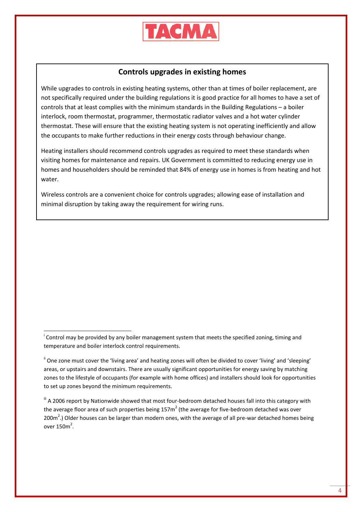

### **Controls upgrades in existing homes**

While upgrades to controls in existing heating systems, other than at times of boiler replacement, are not specifically required under the building regulations it is good practice for all homes to have a set of controls that at least complies with the minimum standards in the Building Regulations – a boiler interlock, room thermostat, programmer, thermostatic radiator valves and a hot water cylinder thermostat. These will ensure that the existing heating system is not operating inefficiently and allow the occupants to make further reductions in their energy costs through behaviour change.

Heating installers should recommend controls upgrades as required to meet these standards when visiting homes for maintenance and repairs. UK Government is committed to reducing energy use in homes and householders should be reminded that 84% of energy use in homes is from heating and hot water.

Wireless controls are a convenient choice for controls upgrades; allowing ease of installation and minimal disruption by taking away the requirement for wiring runs.

<sup>i</sup> Control may be provided by any boiler management system that meets the specified zoning, timing and temperature and boiler interlock control requirements.

1

<sup>ii</sup> One zone must cover the 'living area' and heating zones will often be divided to cover 'living' and 'sleeping' areas, or upstairs and downstairs. There are usually significant opportunities for energy saving by matching zones to the lifestyle of occupants (for example with home offices) and installers should look for opportunities to set up zones beyond the minimum requirements.

III A 2006 report by Nationwide showed that most four-bedroom detached houses fall into this category with the average floor area of such properties being 157 $m^2$  (the average for five-bedroom detached was over 200 $m^2$ .) Older houses can be larger than modern ones, with the average of all pre-war detached homes being over  $150m^2$ .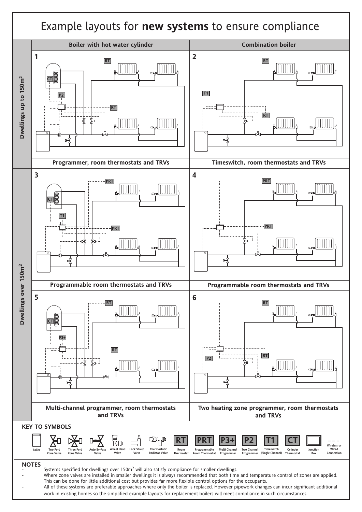

work in existing homes so the simplified example layouts for replacement boilers will meet compliance in such circumstances.